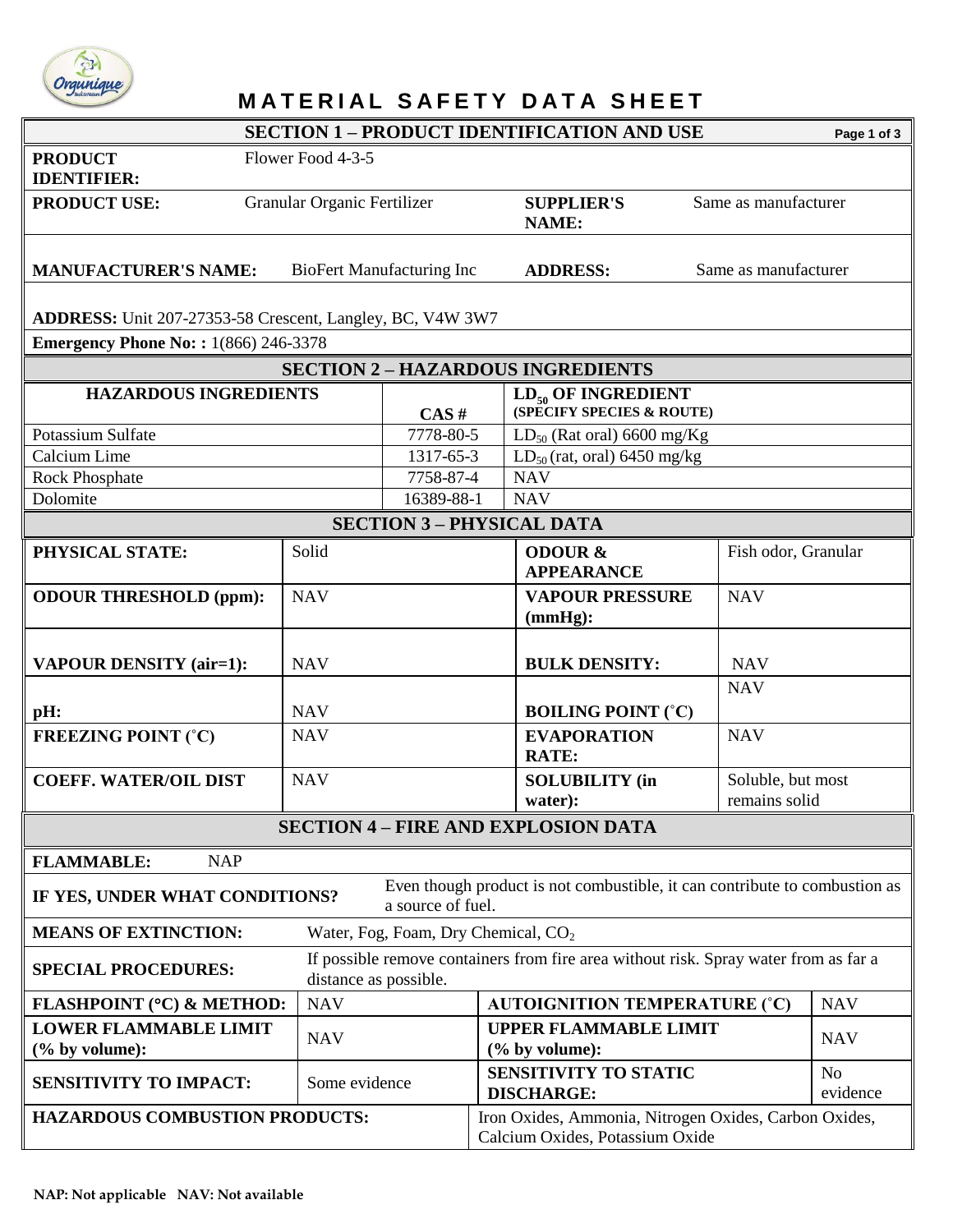

## *Orgunique*<br>**M A T E R I A L S A F E T Y D A T A S H E E T**

|                                                                                                                                             |                             |                                  |                                                      | <b>SECTION 1 - PRODUCT IDENTIFICATION AND USE</b>                                        |                                    | Page 1 of 3                |  |  |  |
|---------------------------------------------------------------------------------------------------------------------------------------------|-----------------------------|----------------------------------|------------------------------------------------------|------------------------------------------------------------------------------------------|------------------------------------|----------------------------|--|--|--|
| <b>PRODUCT</b><br>Flower Food 4-3-5<br><b>IDENTIFIER:</b>                                                                                   |                             |                                  |                                                      |                                                                                          |                                    |                            |  |  |  |
| <b>PRODUCT USE:</b>                                                                                                                         | Granular Organic Fertilizer |                                  |                                                      | <b>SUPPLIER'S</b><br>NAME:                                                               | Same as manufacturer               |                            |  |  |  |
| <b>MANUFACTURER'S NAME:</b><br><b>BioFert Manufacturing Inc</b>                                                                             |                             |                                  |                                                      | <b>ADDRESS:</b><br>Same as manufacturer                                                  |                                    |                            |  |  |  |
| ADDRESS: Unit 207-27353-58 Crescent, Langley, BC, V4W 3W7                                                                                   |                             |                                  |                                                      |                                                                                          |                                    |                            |  |  |  |
| <b>Emergency Phone No:: 1(866) 246-3378</b>                                                                                                 |                             |                                  |                                                      |                                                                                          |                                    |                            |  |  |  |
| <b>SECTION 2 - HAZARDOUS INGREDIENTS</b>                                                                                                    |                             |                                  |                                                      |                                                                                          |                                    |                            |  |  |  |
| <b>HAZARDOUS INGREDIENTS</b>                                                                                                                | CAS#                        |                                  | $LD_{50}$ OF INGREDIENT<br>(SPECIFY SPECIES & ROUTE) |                                                                                          |                                    |                            |  |  |  |
| Potassium Sulfate<br>7778-80-5                                                                                                              |                             |                                  |                                                      | $LD_{50}$ (Rat oral) 6600 mg/Kg                                                          |                                    |                            |  |  |  |
| Calcium Lime<br>1317-65-3                                                                                                                   |                             |                                  |                                                      | $LD_{50}$ (rat, oral) 6450 mg/kg                                                         |                                    |                            |  |  |  |
| 7758-87-4<br><b>Rock Phosphate</b>                                                                                                          |                             |                                  |                                                      | <b>NAV</b>                                                                               |                                    |                            |  |  |  |
| Dolomite                                                                                                                                    |                             | 16389-88-1                       |                                                      | <b>NAV</b>                                                                               |                                    |                            |  |  |  |
|                                                                                                                                             |                             | <b>SECTION 3 - PHYSICAL DATA</b> |                                                      |                                                                                          |                                    |                            |  |  |  |
| PHYSICAL STATE:                                                                                                                             | Solid                       |                                  |                                                      | <b>ODOUR &amp;</b><br><b>APPEARANCE</b>                                                  | Fish odor, Granular                |                            |  |  |  |
| <b>ODOUR THRESHOLD (ppm):</b>                                                                                                               | <b>NAV</b>                  |                                  |                                                      | <b>VAPOUR PRESSURE</b><br>(mmHg):                                                        | <b>NAV</b>                         |                            |  |  |  |
| <b>VAPOUR DENSITY (air=1):</b>                                                                                                              | <b>NAV</b>                  |                                  |                                                      | <b>BULK DENSITY:</b>                                                                     | <b>NAV</b>                         |                            |  |  |  |
| pH:                                                                                                                                         | <b>NAV</b>                  |                                  |                                                      | <b>BOILING POINT (°C)</b>                                                                | <b>NAV</b>                         |                            |  |  |  |
| <b>FREEZING POINT (°C)</b>                                                                                                                  | <b>NAV</b>                  |                                  |                                                      | <b>EVAPORATION</b><br><b>RATE:</b>                                                       | <b>NAV</b>                         |                            |  |  |  |
| <b>COEFF. WATER/OIL DIST</b>                                                                                                                | <b>NAV</b>                  |                                  |                                                      | <b>SOLUBILITY</b> (in<br>water):                                                         | Soluble, but most<br>remains solid |                            |  |  |  |
| <b>SECTION 4 - FIRE AND EXPLOSION DATA</b>                                                                                                  |                             |                                  |                                                      |                                                                                          |                                    |                            |  |  |  |
| <b>FLAMMABLE:</b><br><b>NAP</b>                                                                                                             |                             |                                  |                                                      |                                                                                          |                                    |                            |  |  |  |
| Even though product is not combustible, it can contribute to combustion as<br>IF YES, UNDER WHAT CONDITIONS?<br>a source of fuel.           |                             |                                  |                                                      |                                                                                          |                                    |                            |  |  |  |
| <b>MEANS OF EXTINCTION:</b><br>Water, Fog, Foam, Dry Chemical, CO <sub>2</sub>                                                              |                             |                                  |                                                      |                                                                                          |                                    |                            |  |  |  |
| If possible remove containers from fire area without risk. Spray water from as far a<br><b>SPECIAL PROCEDURES:</b><br>distance as possible. |                             |                                  |                                                      |                                                                                          |                                    |                            |  |  |  |
| FLASHPOINT (°C) & METHOD:                                                                                                                   | <b>NAV</b>                  |                                  |                                                      | <b>AUTOIGNITION TEMPERATURE (°C)</b>                                                     |                                    | <b>NAV</b>                 |  |  |  |
| <b>LOWER FLAMMABLE LIMIT</b><br>(% by volume):                                                                                              | <b>NAV</b>                  |                                  |                                                      | <b>UPPER FLAMMABLE LIMIT</b><br>(% by volume):                                           |                                    | <b>NAV</b>                 |  |  |  |
| <b>SENSITIVITY TO IMPACT:</b>                                                                                                               | Some evidence               |                                  | <b>SENSITIVITY TO STATIC</b><br><b>DISCHARGE:</b>    |                                                                                          |                                    | N <sub>o</sub><br>evidence |  |  |  |
| <b>HAZARDOUS COMBUSTION PRODUCTS:</b>                                                                                                       |                             |                                  |                                                      | Iron Oxides, Ammonia, Nitrogen Oxides, Carbon Oxides,<br>Calcium Oxides, Potassium Oxide |                                    |                            |  |  |  |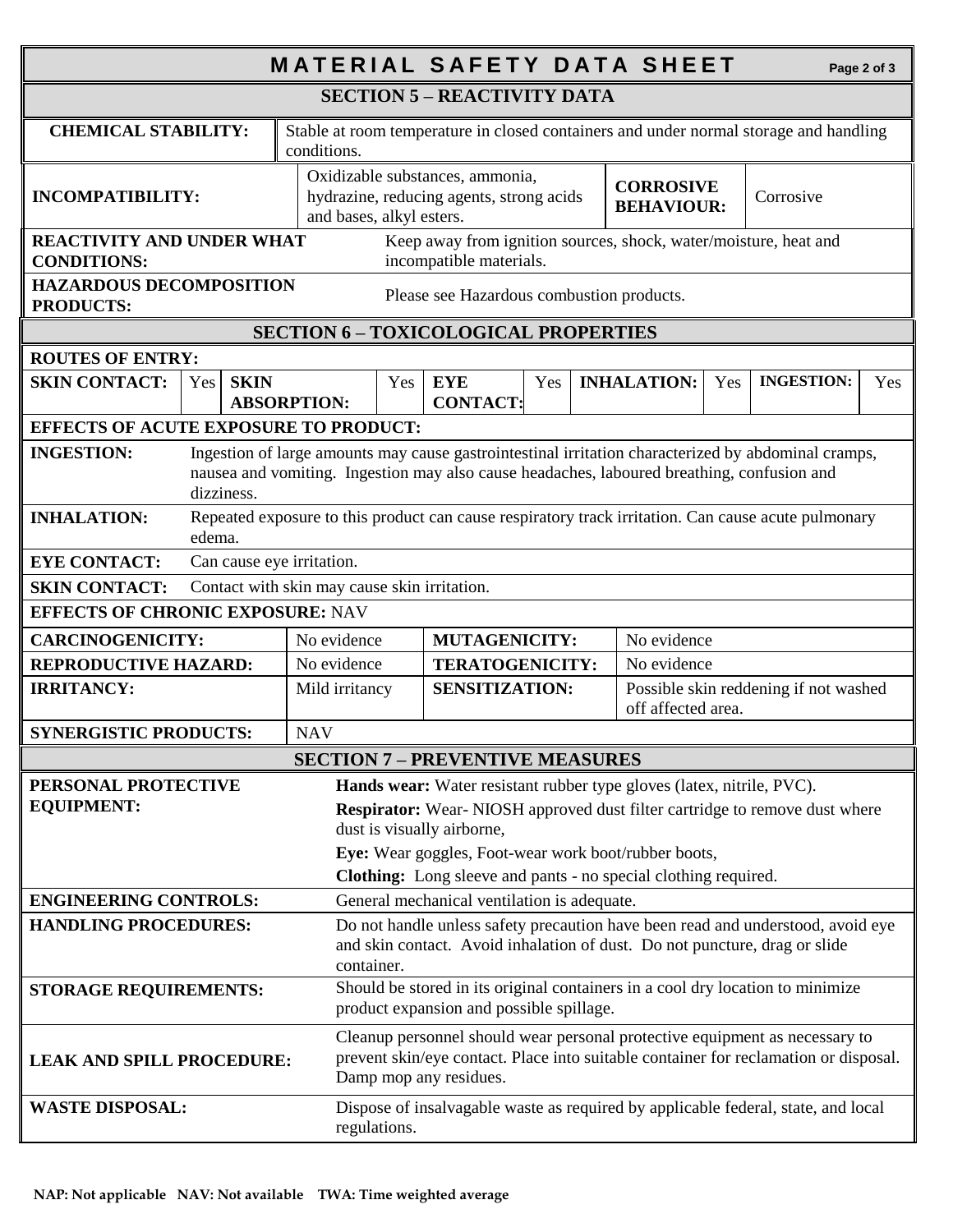| <b>MATERIAL SAFETY DATA SHEET</b><br>Page 2 of 3                                                                                                                                                                                                                                                                                                         |                                                                                                               |                                                                                                      |                                                                                                                            |                                                                                                                                                                                               |                               |                                                             |  |                    |                                       |                                                                                   |           |  |
|----------------------------------------------------------------------------------------------------------------------------------------------------------------------------------------------------------------------------------------------------------------------------------------------------------------------------------------------------------|---------------------------------------------------------------------------------------------------------------|------------------------------------------------------------------------------------------------------|----------------------------------------------------------------------------------------------------------------------------|-----------------------------------------------------------------------------------------------------------------------------------------------------------------------------------------------|-------------------------------|-------------------------------------------------------------|--|--------------------|---------------------------------------|-----------------------------------------------------------------------------------|-----------|--|
| <b>SECTION 5 - REACTIVITY DATA</b>                                                                                                                                                                                                                                                                                                                       |                                                                                                               |                                                                                                      |                                                                                                                            |                                                                                                                                                                                               |                               |                                                             |  |                    |                                       |                                                                                   |           |  |
| <b>CHEMICAL STABILITY:</b>                                                                                                                                                                                                                                                                                                                               |                                                                                                               | Stable at room temperature in closed containers and under normal storage and handling<br>conditions. |                                                                                                                            |                                                                                                                                                                                               |                               |                                                             |  |                    |                                       |                                                                                   |           |  |
| <b>INCOMPATIBILITY:</b>                                                                                                                                                                                                                                                                                                                                  |                                                                                                               |                                                                                                      |                                                                                                                            | Oxidizable substances, ammonia,<br>hydrazine, reducing agents, strong acids<br>and bases, alkyl esters.                                                                                       |                               |                                                             |  |                    | <b>CORROSIVE</b><br><b>BEHAVIOUR:</b> |                                                                                   | Corrosive |  |
| <b>REACTIVITY AND UNDER WHAT</b><br>Keep away from ignition sources, shock, water/moisture, heat and<br><b>CONDITIONS:</b><br>incompatible materials.                                                                                                                                                                                                    |                                                                                                               |                                                                                                      |                                                                                                                            |                                                                                                                                                                                               |                               |                                                             |  |                    |                                       |                                                                                   |           |  |
| <b>HAZARDOUS DECOMPOSITION</b><br>Please see Hazardous combustion products.<br><b>PRODUCTS:</b>                                                                                                                                                                                                                                                          |                                                                                                               |                                                                                                      |                                                                                                                            |                                                                                                                                                                                               |                               |                                                             |  |                    |                                       |                                                                                   |           |  |
| <b>SECTION 6 - TOXICOLOGICAL PROPERTIES</b>                                                                                                                                                                                                                                                                                                              |                                                                                                               |                                                                                                      |                                                                                                                            |                                                                                                                                                                                               |                               |                                                             |  |                    |                                       |                                                                                   |           |  |
| <b>ROUTES OF ENTRY:</b>                                                                                                                                                                                                                                                                                                                                  |                                                                                                               |                                                                                                      |                                                                                                                            |                                                                                                                                                                                               |                               |                                                             |  |                    |                                       |                                                                                   |           |  |
| <b>SKIN CONTACT:</b>                                                                                                                                                                                                                                                                                                                                     | Yes                                                                                                           | <b>SKIN</b>                                                                                          | <b>ABSORPTION:</b>                                                                                                         | Yes                                                                                                                                                                                           | <b>EYE</b><br><b>CONTACT:</b> | Yes                                                         |  | <b>INHALATION:</b> | Yes                                   | <b>INGESTION:</b>                                                                 | Yes       |  |
| <b>EFFECTS OF ACUTE EXPOSURE TO PRODUCT:</b>                                                                                                                                                                                                                                                                                                             |                                                                                                               |                                                                                                      |                                                                                                                            |                                                                                                                                                                                               |                               |                                                             |  |                    |                                       |                                                                                   |           |  |
| <b>INGESTION:</b><br>Ingestion of large amounts may cause gastrointestinal irritation characterized by abdominal cramps,<br>nausea and vomiting. Ingestion may also cause headaches, laboured breathing, confusion and<br>dizziness.                                                                                                                     |                                                                                                               |                                                                                                      |                                                                                                                            |                                                                                                                                                                                               |                               |                                                             |  |                    |                                       |                                                                                   |           |  |
| <b>INHALATION:</b>                                                                                                                                                                                                                                                                                                                                       | Repeated exposure to this product can cause respiratory track irritation. Can cause acute pulmonary<br>edema. |                                                                                                      |                                                                                                                            |                                                                                                                                                                                               |                               |                                                             |  |                    |                                       |                                                                                   |           |  |
| <b>EYE CONTACT:</b>                                                                                                                                                                                                                                                                                                                                      | Can cause eye irritation.                                                                                     |                                                                                                      |                                                                                                                            |                                                                                                                                                                                               |                               |                                                             |  |                    |                                       |                                                                                   |           |  |
| <b>SKIN CONTACT:</b>                                                                                                                                                                                                                                                                                                                                     |                                                                                                               |                                                                                                      | Contact with skin may cause skin irritation.                                                                               |                                                                                                                                                                                               |                               |                                                             |  |                    |                                       |                                                                                   |           |  |
| <b>EFFECTS OF CHRONIC EXPOSURE: NAV</b>                                                                                                                                                                                                                                                                                                                  |                                                                                                               |                                                                                                      |                                                                                                                            |                                                                                                                                                                                               |                               |                                                             |  |                    |                                       |                                                                                   |           |  |
| <b>CARCINOGENICITY:</b>                                                                                                                                                                                                                                                                                                                                  |                                                                                                               | No evidence                                                                                          | <b>MUTAGENICITY:</b>                                                                                                       |                                                                                                                                                                                               |                               | No evidence                                                 |  |                    |                                       |                                                                                   |           |  |
|                                                                                                                                                                                                                                                                                                                                                          | <b>REPRODUCTIVE HAZARD:</b>                                                                                   |                                                                                                      | No evidence                                                                                                                |                                                                                                                                                                                               | <b>TERATOGENICITY:</b>        |                                                             |  | No evidence        |                                       |                                                                                   |           |  |
| <b>IRRITANCY:</b>                                                                                                                                                                                                                                                                                                                                        |                                                                                                               | Mild irritancy                                                                                       | <b>SENSITIZATION:</b>                                                                                                      |                                                                                                                                                                                               |                               | Possible skin reddening if not washed<br>off affected area. |  |                    |                                       |                                                                                   |           |  |
| <b>SYNERGISTIC PRODUCTS:</b>                                                                                                                                                                                                                                                                                                                             |                                                                                                               |                                                                                                      | <b>NAV</b>                                                                                                                 |                                                                                                                                                                                               |                               |                                                             |  |                    |                                       |                                                                                   |           |  |
| <b>SECTION 7 - PREVENTIVE MEASURES</b>                                                                                                                                                                                                                                                                                                                   |                                                                                                               |                                                                                                      |                                                                                                                            |                                                                                                                                                                                               |                               |                                                             |  |                    |                                       |                                                                                   |           |  |
| PERSONAL PROTECTIVE<br>Hands wear: Water resistant rubber type gloves (latex, nitrile, PVC).<br><b>EQUIPMENT:</b><br>Respirator: Wear-NIOSH approved dust filter cartridge to remove dust where<br>dust is visually airborne,<br>Eye: Wear goggles, Foot-wear work boot/rubber boots,<br>Clothing: Long sleeve and pants - no special clothing required. |                                                                                                               |                                                                                                      |                                                                                                                            |                                                                                                                                                                                               |                               |                                                             |  |                    |                                       |                                                                                   |           |  |
| <b>ENGINEERING CONTROLS:</b><br>General mechanical ventilation is adequate.                                                                                                                                                                                                                                                                              |                                                                                                               |                                                                                                      |                                                                                                                            |                                                                                                                                                                                               |                               |                                                             |  |                    |                                       |                                                                                   |           |  |
| Do not handle unless safety precaution have been read and understood, avoid eye<br><b>HANDLING PROCEDURES:</b><br>and skin contact. Avoid inhalation of dust. Do not puncture, drag or slide<br>container.                                                                                                                                               |                                                                                                               |                                                                                                      |                                                                                                                            |                                                                                                                                                                                               |                               |                                                             |  |                    |                                       |                                                                                   |           |  |
| <b>STORAGE REQUIREMENTS:</b>                                                                                                                                                                                                                                                                                                                             |                                                                                                               |                                                                                                      | Should be stored in its original containers in a cool dry location to minimize<br>product expansion and possible spillage. |                                                                                                                                                                                               |                               |                                                             |  |                    |                                       |                                                                                   |           |  |
| <b>LEAK AND SPILL PROCEDURE:</b>                                                                                                                                                                                                                                                                                                                         |                                                                                                               |                                                                                                      |                                                                                                                            | Cleanup personnel should wear personal protective equipment as necessary to<br>prevent skin/eye contact. Place into suitable container for reclamation or disposal.<br>Damp mop any residues. |                               |                                                             |  |                    |                                       |                                                                                   |           |  |
| <b>WASTE DISPOSAL:</b>                                                                                                                                                                                                                                                                                                                                   |                                                                                                               |                                                                                                      |                                                                                                                            | regulations.                                                                                                                                                                                  |                               |                                                             |  |                    |                                       | Dispose of insalvagable waste as required by applicable federal, state, and local |           |  |